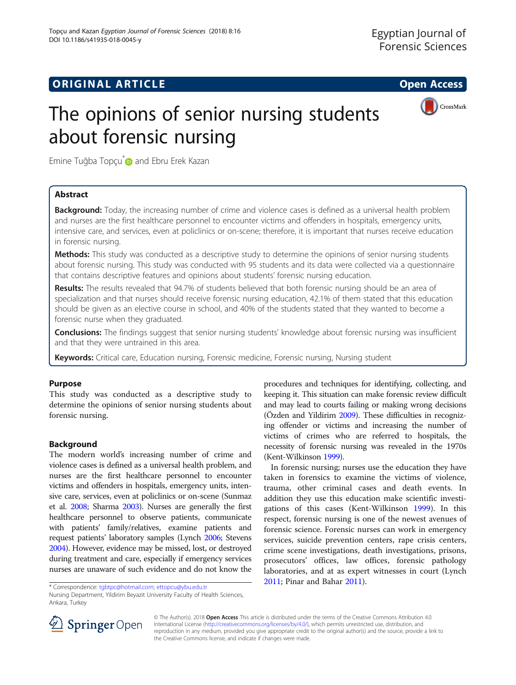## **ORIGINAL ARTICLE CONSERVANCE IN A LOCAL CONSERVANCE IN A LOCAL CONSERVANCE IN A LOCAL CONSERVANCE IN A LOCAL CONS**



# The opinions of senior nursing students about forensic nursing

Emine Tuğba Topçu<sup>[\\*](http://orcid.org/0000-0003-2817-2309)</sup> and Ebru Erek Kazan

## Abstract

Background: Today, the increasing number of crime and violence cases is defined as a universal health problem and nurses are the first healthcare personnel to encounter victims and offenders in hospitals, emergency units, intensive care, and services, even at policlinics or on-scene; therefore, it is important that nurses receive education in forensic nursing.

Methods: This study was conducted as a descriptive study to determine the opinions of senior nursing students about forensic nursing. This study was conducted with 95 students and its data were collected via a questionnaire that contains descriptive features and opinions about students' forensic nursing education.

Results: The results revealed that 94.7% of students believed that both forensic nursing should be an area of specialization and that nurses should receive forensic nursing education, 42.1% of them stated that this education should be given as an elective course in school, and 40% of the students stated that they wanted to become a forensic nurse when they graduated.

**Conclusions:** The findings suggest that senior nursing students' knowledge about forensic nursing was insufficient and that they were untrained in this area.

Keywords: Critical care, Education nursing, Forensic medicine, Forensic nursing, Nursing student

## Purpose

This study was conducted as a descriptive study to determine the opinions of senior nursing students about forensic nursing.

## Background

The modern world's increasing number of crime and violence cases is defined as a universal health problem, and nurses are the first healthcare personnel to encounter victims and offenders in hospitals, emergency units, intensive care, services, even at policlinics or on-scene (Sunmaz et al. [2008;](#page-6-0) Sharma [2003\)](#page-6-0). Nurses are generally the first healthcare personnel to observe patients, communicate with patients' family/relatives, examine patients and request patients' laboratory samples (Lynch [2006;](#page-6-0) Stevens [2004\)](#page-6-0). However, evidence may be missed, lost, or destroyed during treatment and care, especially if emergency services nurses are unaware of such evidence and do not know the

procedures and techniques for identifying, collecting, and keeping it. This situation can make forensic review difficult and may lead to courts failing or making wrong decisions (Özden and Yildirim [2009\)](#page-6-0). These difficulties in recognizing offender or victims and increasing the number of victims of crimes who are referred to hospitals, the necessity of forensic nursing was revealed in the 1970s (Kent-Wilkinson [1999](#page-6-0)).

In forensic nursing; nurses use the education they have taken in forensics to examine the victims of violence, trauma, other criminal cases and death events. In addition they use this education make scientific investigations of this cases (Kent-Wilkinson [1999](#page-6-0)). In this respect, forensic nursing is one of the newest avenues of forensic science. Forensic nurses can work in emergency services, suicide prevention centers, rape crisis centers, crime scene investigations, death investigations, prisons, prosecutors' offices, law offices, forensic pathology laboratories, and at as expert witnesses in court (Lynch



© The Author(s). 2018 Open Access This article is distributed under the terms of the Creative Commons Attribution 4.0 International License ([http://creativecommons.org/licenses/by/4.0/\)](http://creativecommons.org/licenses/by/4.0/), which permits unrestricted use, distribution, and reproduction in any medium, provided you give appropriate credit to the original author(s) and the source, provide a link to the Creative Commons license, and indicate if changes were made.

[<sup>2011</sup>](#page-6-0); Pinar and Bahar [2011](#page-6-0)). \* Correspondence: [tgbtpc@hotmail.com](mailto:tgbtpc@hotmail.com); [ettopcu@ybu.edu.tr](mailto:ettopcu@ybu.edu.tr)

Nursing Department, Yildirim Beyazit University Faculty of Health Sciences, Ankara, Turkey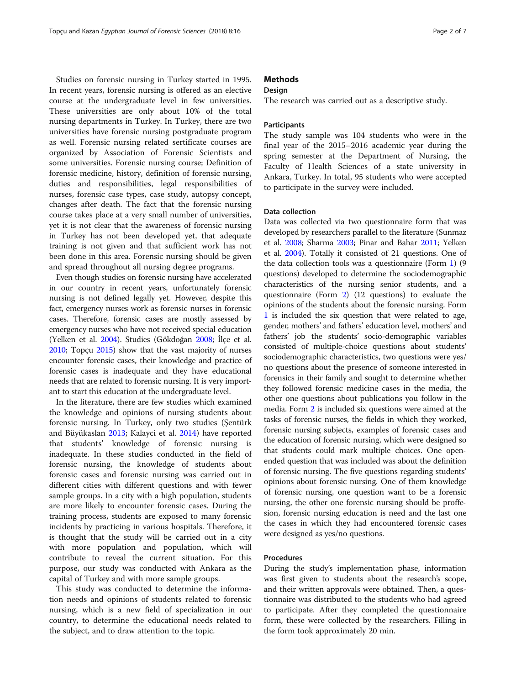Studies on forensic nursing in Turkey started in 1995. In recent years, forensic nursing is offered as an elective course at the undergraduate level in few universities. These universities are only about 10% of the total nursing departments in Turkey. In Turkey, there are two universities have forensic nursing postgraduate program as well. Forensic nursing related sertificate courses are organized by Association of Forensic Scientists and some universities. Forensic nursing course; Definition of forensic medicine, history, definition of forensic nursing, duties and responsibilities, legal responsibilities of nurses, forensic case types, case study, autopsy concept, changes after death. The fact that the forensic nursing course takes place at a very small number of universities, yet it is not clear that the awareness of forensic nursing in Turkey has not been developed yet, that adequate training is not given and that sufficient work has not been done in this area. Forensic nursing should be given and spread throughout all nursing degree programs.

Even though studies on forensic nursing have accelerated in our country in recent years, unfortunately forensic nursing is not defined legally yet. However, despite this fact, emergency nurses work as forensic nurses in forensic cases. Therefore, forensic cases are mostly assessed by emergency nurses who have not received special education (Yelken et al. [2004](#page-6-0)). Studies (Gökdoğan [2008](#page-6-0); İlçe et al. [2010;](#page-6-0) Topçu [2015](#page-6-0)) show that the vast majority of nurses encounter forensic cases, their knowledge and practice of forensic cases is inadequate and they have educational needs that are related to forensic nursing. It is very important to start this education at the undergraduate level.

In the literature, there are few studies which examined the knowledge and opinions of nursing students about forensic nursing. In Turkey, only two studies (Şentürk and Büyükaslan [2013;](#page-6-0) Kalayci et al. [2014\)](#page-6-0) have reported that students' knowledge of forensic nursing is inadequate. In these studies conducted in the field of forensic nursing, the knowledge of students about forensic cases and forensic nursing was carried out in different cities with different questions and with fewer sample groups. In a city with a high population, students are more likely to encounter forensic cases. During the training process, students are exposed to many forensic incidents by practicing in various hospitals. Therefore, it is thought that the study will be carried out in a city with more population and population, which will contribute to reveal the current situation. For this purpose, our study was conducted with Ankara as the capital of Turkey and with more sample groups.

This study was conducted to determine the information needs and opinions of students related to forensic nursing, which is a new field of specialization in our country, to determine the educational needs related to the subject, and to draw attention to the topic.

### **Methods**

#### **Design**

The research was carried out as a descriptive study.

#### **Participants**

The study sample was 104 students who were in the final year of the 2015–2016 academic year during the spring semester at the Department of Nursing, the Faculty of Health Sciences of a state university in Ankara, Turkey. In total, 95 students who were accepted to participate in the survey were included.

#### Data collection

Data was collected via two questionnaire form that was developed by researchers parallel to the literature (Sunmaz et al. [2008](#page-6-0); Sharma [2003](#page-6-0); Pinar and Bahar [2011](#page-6-0); Yelken et al. [2004](#page-6-0)). Totally it consisted of 21 questions. One of the data collection tools was a questionnaire (Form [1\)](#page-5-0) (9 questions) developed to determine the sociodemographic characteristics of the nursing senior students, and a questionnaire (Form [2\)](#page-5-0) (12 questions) to evaluate the opinions of the students about the forensic nursing. Form [1](#page-5-0) is included the six question that were related to age, gender, mothers' and fathers' education level, mothers' and fathers' job the students' socio-demographic variables consisted of multiple-choice questions about students' sociodemographic characteristics, two questions were yes/ no questions about the presence of someone interested in forensics in their family and sought to determine whether they followed forensic medicine cases in the media, the other one questions about publications you follow in the media. Form [2](#page-5-0) is included six questions were aimed at the tasks of forensic nurses, the fields in which they worked, forensic nursing subjects, examples of forensic cases and the education of forensic nursing, which were designed so that students could mark multiple choices. One openended question that was included was about the definition of forensic nursing. The five questions regarding students' opinions about forensic nursing. One of them knowledge of forensic nursing, one question want to be a forensic nursing, the other one forensic nursing should be proffesion, forensic nursing education is need and the last one the cases in which they had encountered forensic cases were designed as yes/no questions.

#### Procedures

During the study's implementation phase, information was first given to students about the research's scope, and their written approvals were obtained. Then, a questionnaire was distributed to the students who had agreed to participate. After they completed the questionnaire form, these were collected by the researchers. Filling in the form took approximately 20 min.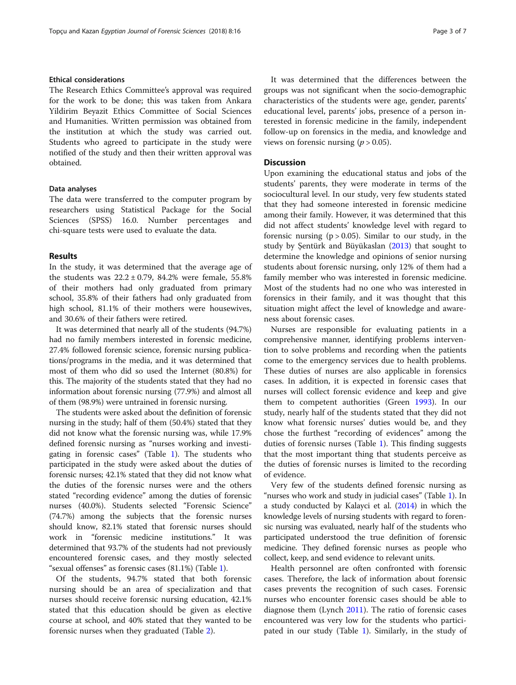#### Ethical considerations

The Research Ethics Committee's approval was required for the work to be done; this was taken from Ankara Yildirim Beyazit Ethics Committee of Social Sciences and Humanities. Written permission was obtained from the institution at which the study was carried out. Students who agreed to participate in the study were notified of the study and then their written approval was obtained.

#### Data analyses

The data were transferred to the computer program by researchers using Statistical Package for the Social Sciences (SPSS) 16.0. Number percentages and chi-square tests were used to evaluate the data.

#### Results

In the study, it was determined that the average age of the students was  $22.2 \pm 0.79$ , 84.2% were female, 55.8% of their mothers had only graduated from primary school, 35.8% of their fathers had only graduated from high school, 81.1% of their mothers were housewives, and 30.6% of their fathers were retired.

It was determined that nearly all of the students (94.7%) had no family members interested in forensic medicine, 27.4% followed forensic science, forensic nursing publications/programs in the media, and it was determined that most of them who did so used the Internet (80.8%) for this. The majority of the students stated that they had no information about forensic nursing (77.9%) and almost all of them (98.9%) were untrained in forensic nursing.

The students were asked about the definition of forensic nursing in the study; half of them (50.4%) stated that they did not know what the forensic nursing was, while 17.9% defined forensic nursing as "nurses working and investigating in forensic cases" (Table [1\)](#page-3-0). The students who participated in the study were asked about the duties of forensic nurses; 42.1% stated that they did not know what the duties of the forensic nurses were and the others stated "recording evidence" among the duties of forensic nurses (40.0%). Students selected "Forensic Science" (74.7%) among the subjects that the forensic nurses should know, 82.1% stated that forensic nurses should work in "forensic medicine institutions." It was determined that 93.7% of the students had not previously encountered forensic cases, and they mostly selected "sexual offenses" as forensic cases (81.1%) (Table [1\)](#page-3-0).

Of the students, 94.7% stated that both forensic nursing should be an area of specialization and that nurses should receive forensic nursing education, 42.1% stated that this education should be given as elective course at school, and 40% stated that they wanted to be forensic nurses when they graduated (Table [2\)](#page-4-0).

It was determined that the differences between the groups was not significant when the socio-demographic characteristics of the students were age, gender, parents' educational level, parents' jobs, presence of a person interested in forensic medicine in the family, independent follow-up on forensics in the media, and knowledge and views on forensic nursing ( $p > 0.05$ ).

#### **Discussion**

Upon examining the educational status and jobs of the students' parents, they were moderate in terms of the sociocultural level. In our study, very few students stated that they had someone interested in forensic medicine among their family. However, it was determined that this did not affect students' knowledge level with regard to forensic nursing  $(p > 0.05)$ . Similar to our study, in the study by Şentürk and Büyükaslan [\(2013\)](#page-6-0) that sought to determine the knowledge and opinions of senior nursing students about forensic nursing, only 12% of them had a family member who was interested in forensic medicine. Most of the students had no one who was interested in forensics in their family, and it was thought that this situation might affect the level of knowledge and awareness about forensic cases.

Nurses are responsible for evaluating patients in a comprehensive manner, identifying problems intervention to solve problems and recording when the patients come to the emergency services due to health problems. These duties of nurses are also applicable in forensics cases. In addition, it is expected in forensic cases that nurses will collect forensic evidence and keep and give them to competent authorities (Green [1993\)](#page-6-0). In our study, nearly half of the students stated that they did not know what forensic nurses' duties would be, and they chose the furthest "recording of evidences" among the duties of forensic nurses (Table [1\)](#page-3-0). This finding suggests that the most important thing that students perceive as the duties of forensic nurses is limited to the recording of evidence.

Very few of the students defined forensic nursing as "nurses who work and study in judicial cases" (Table [1](#page-3-0)). In a study conducted by Kalayci et al. [\(2014](#page-6-0)) in which the knowledge levels of nursing students with regard to forensic nursing was evaluated, nearly half of the students who participated understood the true definition of forensic medicine. They defined forensic nurses as people who collect, keep, and send evidence to relevant units.

Health personnel are often confronted with forensic cases. Therefore, the lack of information about forensic cases prevents the recognition of such cases. Forensic nurses who encounter forensic cases should be able to diagnose them (Lynch [2011\)](#page-6-0). The ratio of forensic cases encountered was very low for the students who participated in our study (Table [1\)](#page-3-0). Similarly, in the study of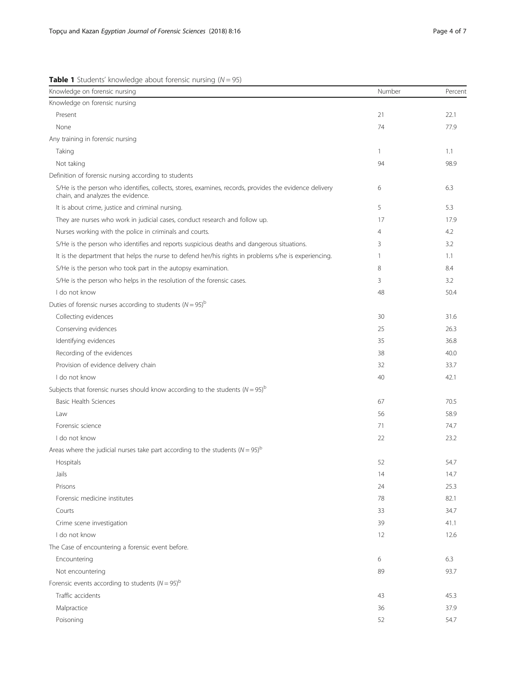<span id="page-3-0"></span>**Table 1** Students' knowledge about forensic nursing  $(N = 95)$ 

| Knowledge on forensic nursing                                                                                                               | Number         | Percent |
|---------------------------------------------------------------------------------------------------------------------------------------------|----------------|---------|
| Knowledge on forensic nursing                                                                                                               |                |         |
| Present                                                                                                                                     | 21             | 22.1    |
| None                                                                                                                                        | 74             | 77.9    |
| Any training in forensic nursing                                                                                                            |                |         |
| Taking                                                                                                                                      | $\mathbf{1}$   | 1.1     |
| Not taking                                                                                                                                  | 94             | 98.9    |
| Definition of forensic nursing according to students                                                                                        |                |         |
| S/He is the person who identifies, collects, stores, examines, records, provides the evidence delivery<br>chain, and analyzes the evidence. | 6              | 6.3     |
| It is about crime, justice and criminal nursing.                                                                                            | 5              | 5.3     |
| They are nurses who work in judicial cases, conduct research and follow up.                                                                 | 17             | 17.9    |
| Nurses working with the police in criminals and courts.                                                                                     | $\overline{4}$ | 4.2     |
| S/He is the person who identifies and reports suspicious deaths and dangerous situations.                                                   | 3              | 3.2     |
| It is the department that helps the nurse to defend her/his rights in problems s/he is experiencing.                                        | 1              | 1.1     |
| S/He is the person who took part in the autopsy examination.                                                                                | 8              | 8.4     |
| S/He is the person who helps in the resolution of the forensic cases.                                                                       | 3              | 3.2     |
| I do not know                                                                                                                               | 48             | 50.4    |
| Duties of forensic nurses according to students $(N = 95)^b$                                                                                |                |         |
| Collecting evidences                                                                                                                        | 30             | 31.6    |
| Conserving evidences                                                                                                                        | 25             | 26.3    |
| Identifying evidences                                                                                                                       | 35             | 36.8    |
| Recording of the evidences                                                                                                                  | 38             | 40.0    |
| Provision of evidence delivery chain                                                                                                        | 32             | 33.7    |
| I do not know                                                                                                                               | 40             | 42.1    |
| Subjects that forensic nurses should know according to the students ( $N = 95$ ) <sup>b</sup>                                               |                |         |
| <b>Basic Health Sciences</b>                                                                                                                | 67             | 70.5    |
| Law                                                                                                                                         | 56             | 58.9    |
| Forensic science                                                                                                                            | 71             | 74.7    |
| I do not know                                                                                                                               | 22             | 23.2    |
| Areas where the judicial nurses take part according to the students ( $N = 95$ ) <sup>b</sup>                                               |                |         |
| Hospitals                                                                                                                                   | 52             | 54.7    |
| Jails                                                                                                                                       | 14             | 14.7    |
| Prisons                                                                                                                                     | 24             | 25.3    |
| Forensic medicine institutes                                                                                                                | 78             | 82.1    |
| Courts                                                                                                                                      | 33             | 34.7    |
| Crime scene investigation                                                                                                                   | 39             | 41.1    |
| I do not know                                                                                                                               | 12             | 12.6    |
| The Case of encountering a forensic event before.                                                                                           |                |         |
| Encountering                                                                                                                                | 6              | 6.3     |
| Not encountering                                                                                                                            | 89             | 93.7    |
| Forensic events according to students $(N = 95)^b$                                                                                          |                |         |
| Traffic accidents                                                                                                                           | 43             | 45.3    |
| Malpractice                                                                                                                                 | 36             | 37.9    |
| Poisoning                                                                                                                                   | 52             | 54.7    |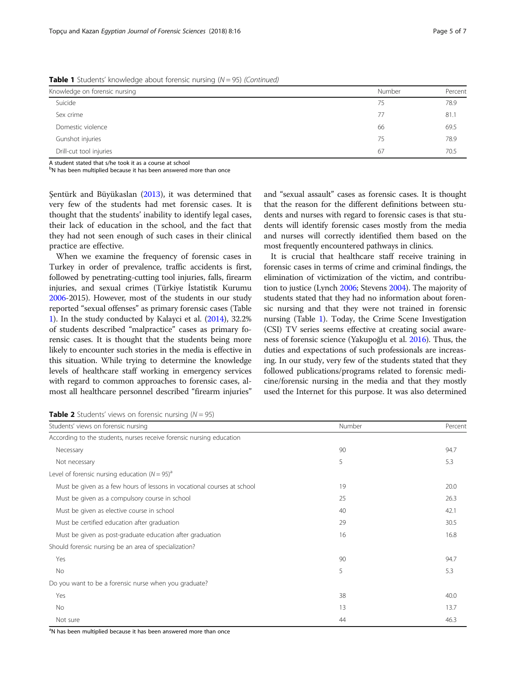<span id="page-4-0"></span>**Table 1** Students' knowledge about forensic nursing  $(N = 95)$  (Continued)

| Knowledge on forensic nursing | Number | Percent |
|-------------------------------|--------|---------|
| Suicide                       | 75     | 78.9    |
| Sex crime                     | 77     | 81.1    |
| Domestic violence             | 66     | 69.5    |
| Gunshot injuries              | 75     | 78.9    |
| Drill-cut tool injuries       | 67     | 70.5    |

A student stated that s/he took it as a course at school

<sup>b</sup>N has been multiplied because it has been answered more than once

Şentürk and Büyükaslan ([2013](#page-6-0)), it was determined that very few of the students had met forensic cases. It is thought that the students' inability to identify legal cases, their lack of education in the school, and the fact that they had not seen enough of such cases in their clinical practice are effective.

When we examine the frequency of forensic cases in Turkey in order of prevalence, traffic accidents is first, followed by penetrating-cutting tool injuries, falls, firearm injuries, and sexual crimes (Türkiye İstatistik Kurumu [2006-](#page-6-0)2015). However, most of the students in our study reported "sexual offenses" as primary forensic cases (Table [1\)](#page-3-0). In the study conducted by Kalayci et al. [\(2014\)](#page-6-0), 32.2% of students described "malpractice" cases as primary forensic cases. It is thought that the students being more likely to encounter such stories in the media is effective in this situation. While trying to determine the knowledge levels of healthcare staff working in emergency services with regard to common approaches to forensic cases, almost all healthcare personnel described "firearm injuries" and "sexual assault" cases as forensic cases. It is thought that the reason for the different definitions between students and nurses with regard to forensic cases is that students will identify forensic cases mostly from the media and nurses will correctly identified them based on the most frequently encountered pathways in clinics.

It is crucial that healthcare staff receive training in forensic cases in terms of crime and criminal findings, the elimination of victimization of the victim, and contribution to justice (Lynch [2006;](#page-6-0) Stevens [2004\)](#page-6-0). The majority of students stated that they had no information about forensic nursing and that they were not trained in forensic nursing (Table [1\)](#page-3-0). Today, the Crime Scene Investigation (CSI) TV series seems effective at creating social awareness of forensic science (Yakupoğlu et al. [2016\)](#page-6-0). Thus, the duties and expectations of such professionals are increasing. In our study, very few of the students stated that they followed publications/programs related to forensic medicine/forensic nursing in the media and that they mostly used the Internet for this purpose. It was also determined

**Table 2** Students' views on forensic nursing ( $N = 95$ )

| Students' views on forensic nursing                                     | Number | Percent |
|-------------------------------------------------------------------------|--------|---------|
| According to the students, nurses receive forensic nursing education    |        |         |
| Necessary                                                               | 90     | 94.7    |
| Not necessary                                                           | 5      | 5.3     |
| Level of forensic nursing education ( $N = 95$ ) <sup>a</sup>           |        |         |
| Must be given as a few hours of lessons in vocational courses at school | 19     | 20.0    |
| Must be given as a compulsory course in school                          | 25     | 26.3    |
| Must be given as elective course in school                              | 40     | 42.1    |
| Must be certified education after graduation                            | 29     | 30.5    |
| Must be given as post-graduate education after graduation               | 16     | 16.8    |
| Should forensic nursing be an area of specialization?                   |        |         |
| Yes                                                                     | 90     | 94.7    |
| No                                                                      | 5      | 5.3     |
| Do you want to be a forensic nurse when you graduate?                   |        |         |
| Yes                                                                     | 38     | 40.0    |
| No                                                                      | 13     | 13.7    |
| Not sure                                                                | 44     | 46.3    |
|                                                                         |        |         |

<sup>a</sup>N has been multiplied because it has been answered more than once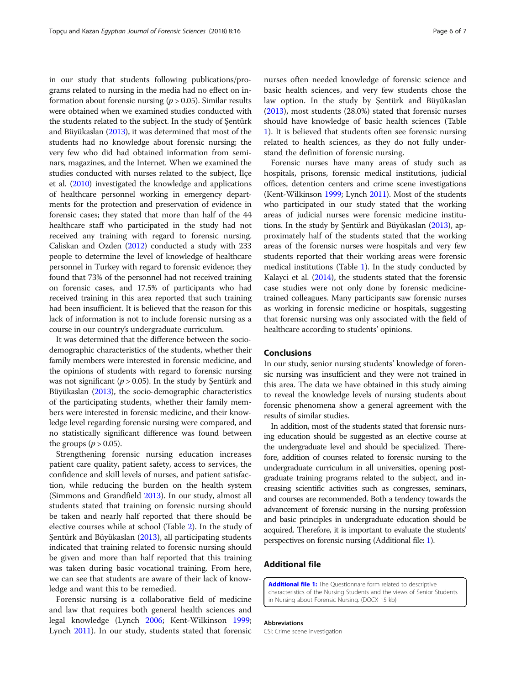<span id="page-5-0"></span>in our study that students following publications/programs related to nursing in the media had no effect on information about forensic nursing  $(p > 0.05)$ . Similar results were obtained when we examined studies conducted with the students related to the subject. In the study of Şentürk and Büyükaslan [\(2013\)](#page-6-0), it was determined that most of the students had no knowledge about forensic nursing; the very few who did had obtained information from seminars, magazines, and the Internet. When we examined the studies conducted with nurses related to the subject, İlçe et al. ([2010](#page-6-0)) investigated the knowledge and applications of healthcare personnel working in emergency departments for the protection and preservation of evidence in forensic cases; they stated that more than half of the 44 healthcare staff who participated in the study had not received any training with regard to forensic nursing. Caliskan and Ozden ([2012\)](#page-6-0) conducted a study with 233 people to determine the level of knowledge of healthcare personnel in Turkey with regard to forensic evidence; they found that 73% of the personnel had not received training on forensic cases, and 17.5% of participants who had received training in this area reported that such training had been insufficient. It is believed that the reason for this lack of information is not to include forensic nursing as a course in our country's undergraduate curriculum.

It was determined that the difference between the sociodemographic characteristics of the students, whether their family members were interested in forensic medicine, and the opinions of students with regard to forensic nursing was not significant ( $p > 0.05$ ). In the study by Şentürk and Büyükaslan [\(2013](#page-6-0)), the socio-demographic characteristics of the participating students, whether their family members were interested in forensic medicine, and their knowledge level regarding forensic nursing were compared, and no statistically significant difference was found between the groups ( $p > 0.05$ ).

Strengthening forensic nursing education increases patient care quality, patient safety, access to services, the confidence and skill levels of nurses, and patient satisfaction, while reducing the burden on the health system (Simmons and Grandfield [2013\)](#page-6-0). In our study, almost all students stated that training on forensic nursing should be taken and nearly half reported that there should be elective courses while at school (Table [2\)](#page-4-0). In the study of Şentürk and Büyükaslan ([2013](#page-6-0)), all participating students indicated that training related to forensic nursing should be given and more than half reported that this training was taken during basic vocational training. From here, we can see that students are aware of their lack of knowledge and want this to be remedied.

Forensic nursing is a collaborative field of medicine and law that requires both general health sciences and legal knowledge (Lynch [2006;](#page-6-0) Kent-Wilkinson [1999](#page-6-0); Lynch [2011](#page-6-0)). In our study, students stated that forensic nurses often needed knowledge of forensic science and basic health sciences, and very few students chose the law option. In the study by Şentürk and Büyükaslan ([2013\)](#page-6-0), most students (28.0%) stated that forensic nurses should have knowledge of basic health sciences (Table [1\)](#page-3-0). It is believed that students often see forensic nursing related to health sciences, as they do not fully understand the definition of forensic nursing.

Forensic nurses have many areas of study such as hospitals, prisons, forensic medical institutions, judicial offices, detention centers and crime scene investigations (Kent-Wilkinson [1999](#page-6-0); Lynch [2011](#page-6-0)). Most of the students who participated in our study stated that the working areas of judicial nurses were forensic medicine institutions. In the study by Şentürk and Büyükaslan [\(2013](#page-6-0)), approximately half of the students stated that the working areas of the forensic nurses were hospitals and very few students reported that their working areas were forensic medical institutions (Table [1](#page-3-0)). In the study conducted by Kalayci et al. [\(2014\)](#page-6-0), the students stated that the forensic case studies were not only done by forensic medicinetrained colleagues. Many participants saw forensic nurses as working in forensic medicine or hospitals, suggesting that forensic nursing was only associated with the field of healthcare according to students' opinions.

#### Conclusions

In our study, senior nursing students' knowledge of forensic nursing was insufficient and they were not trained in this area. The data we have obtained in this study aiming to reveal the knowledge levels of nursing students about forensic phenomena show a general agreement with the results of similar studies.

In addition, most of the students stated that forensic nursing education should be suggested as an elective course at the undergraduate level and should be specialized. Therefore, addition of courses related to forensic nursing to the undergraduate curriculum in all universities, opening postgraduate training programs related to the subject, and increasing scientific activities such as congresses, seminars, and courses are recommended. Both a tendency towards the advancement of forensic nursing in the nursing profession and basic principles in undergraduate education should be acquired. Therefore, it is important to evaluate the students' perspectives on forensic nursing (Additional file: 1).

#### Additional file

[Additional file 1:](dx.doi.org/10.1186/s41935-018-0045-y) The Questionnare form related to descriptive characteristics of the Nursing Students and the views of Senior Students in Nursing about Forensic Nursing. (DOCX 15 kb)

#### Abbreviations

CSI: Crime scene investigation